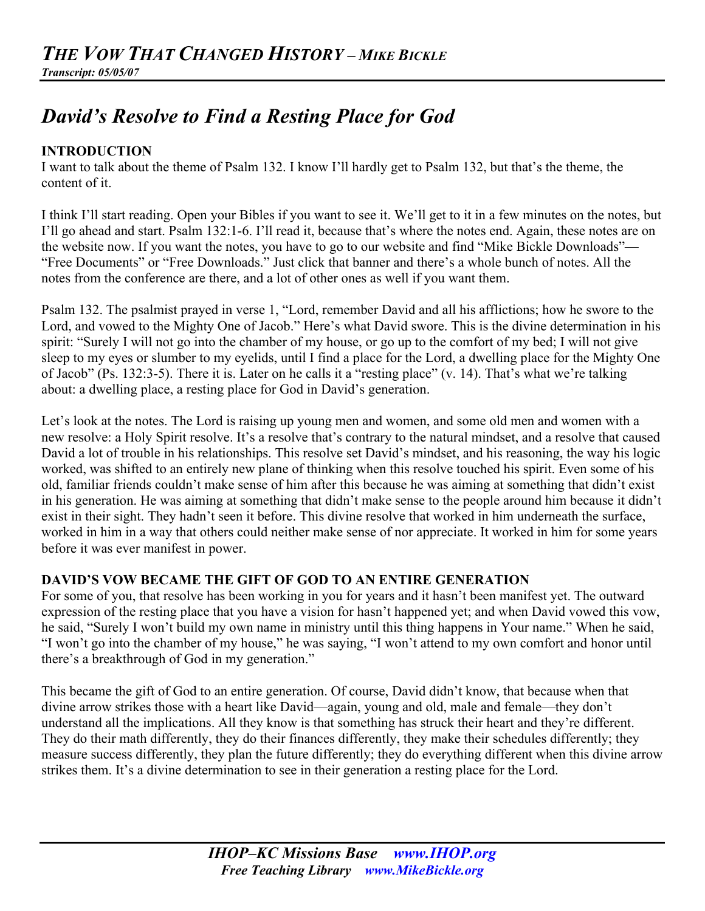# *David's Resolve to Find a Resting Place for God*

# **INTRODUCTION**

I want to talk about the theme of Psalm 132. I know I'll hardly get to Psalm 132, but that's the theme, the content of it.

I think I'll start reading. Open your Bibles if you want to see it. We'll get to it in a few minutes on the notes, but I'll go ahead and start. Psalm 132:1-6. I'll read it, because that's where the notes end. Again, these notes are on the website now. If you want the notes, you have to go to our website and find "Mike Bickle Downloads"— "Free Documents" or "Free Downloads." Just click that banner and there's a whole bunch of notes. All the notes from the conference are there, and a lot of other ones as well if you want them.

Psalm 132. The psalmist prayed in verse 1, "Lord, remember David and all his afflictions; how he swore to the Lord, and vowed to the Mighty One of Jacob." Here's what David swore. This is the divine determination in his spirit: "Surely I will not go into the chamber of my house, or go up to the comfort of my bed; I will not give sleep to my eyes or slumber to my eyelids, until I find a place for the Lord, a dwelling place for the Mighty One of Jacob" (Ps. 132:3-5). There it is. Later on he calls it a "resting place" (v. 14). That's what we're talking about: a dwelling place, a resting place for God in David's generation.

Let's look at the notes. The Lord is raising up young men and women, and some old men and women with a new resolve: a Holy Spirit resolve. It's a resolve that's contrary to the natural mindset, and a resolve that caused David a lot of trouble in his relationships. This resolve set David's mindset, and his reasoning, the way his logic worked, was shifted to an entirely new plane of thinking when this resolve touched his spirit. Even some of his old, familiar friends couldn't make sense of him after this because he was aiming at something that didn't exist in his generation. He was aiming at something that didn't make sense to the people around him because it didn't exist in their sight. They hadn't seen it before. This divine resolve that worked in him underneath the surface, worked in him in a way that others could neither make sense of nor appreciate. It worked in him for some years before it was ever manifest in power.

# **DAVID'S VOW BECAME THE GIFT OF GOD TO AN ENTIRE GENERATION**

For some of you, that resolve has been working in you for years and it hasn't been manifest yet. The outward expression of the resting place that you have a vision for hasn't happened yet; and when David vowed this vow, he said, "Surely I won't build my own name in ministry until this thing happens in Your name." When he said, "I won't go into the chamber of my house," he was saying, "I won't attend to my own comfort and honor until there's a breakthrough of God in my generation."

This became the gift of God to an entire generation. Of course, David didn't know, that because when that divine arrow strikes those with a heart like David—again, young and old, male and female—they don't understand all the implications. All they know is that something has struck their heart and they're different. They do their math differently, they do their finances differently, they make their schedules differently; they measure success differently, they plan the future differently; they do everything different when this divine arrow strikes them. It's a divine determination to see in their generation a resting place for the Lord.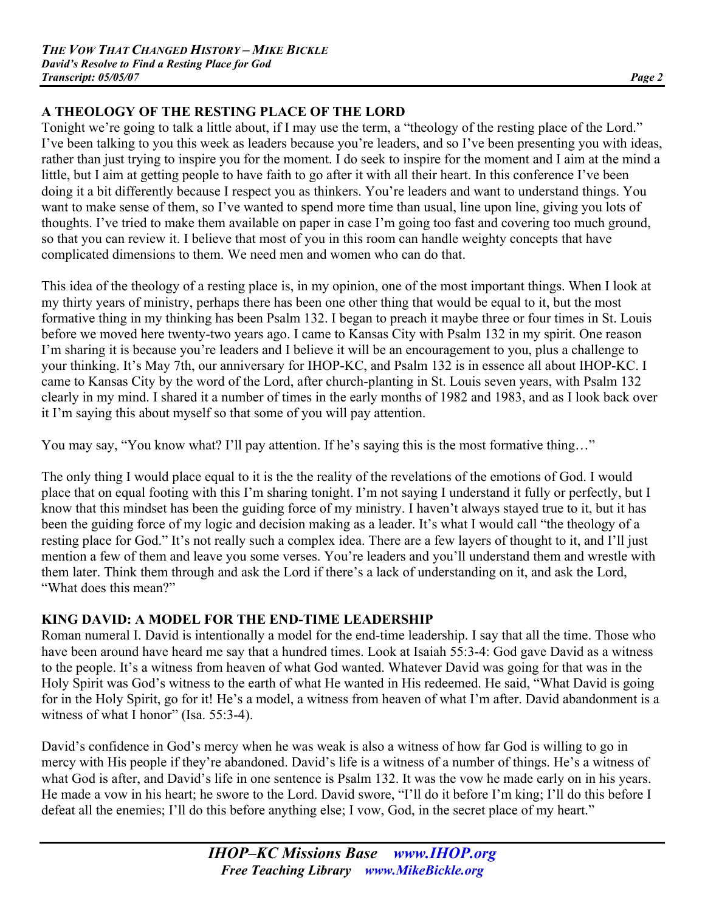# **A THEOLOGY OF THE RESTING PLACE OF THE LORD**

Tonight we're going to talk a little about, if I may use the term, a "theology of the resting place of the Lord." I've been talking to you this week as leaders because you're leaders, and so I've been presenting you with ideas, rather than just trying to inspire you for the moment. I do seek to inspire for the moment and I aim at the mind a little, but I aim at getting people to have faith to go after it with all their heart. In this conference I've been doing it a bit differently because I respect you as thinkers. You're leaders and want to understand things. You want to make sense of them, so I've wanted to spend more time than usual, line upon line, giving you lots of thoughts. I've tried to make them available on paper in case I'm going too fast and covering too much ground, so that you can review it. I believe that most of you in this room can handle weighty concepts that have complicated dimensions to them. We need men and women who can do that.

This idea of the theology of a resting place is, in my opinion, one of the most important things. When I look at my thirty years of ministry, perhaps there has been one other thing that would be equal to it, but the most formative thing in my thinking has been Psalm 132. I began to preach it maybe three or four times in St. Louis before we moved here twenty-two years ago. I came to Kansas City with Psalm 132 in my spirit. One reason I'm sharing it is because you're leaders and I believe it will be an encouragement to you, plus a challenge to your thinking. It's May 7th, our anniversary for IHOP-KC, and Psalm 132 is in essence all about IHOP-KC. I came to Kansas City by the word of the Lord, after church-planting in St. Louis seven years, with Psalm 132 clearly in my mind. I shared it a number of times in the early months of 1982 and 1983, and as I look back over it I'm saying this about myself so that some of you will pay attention.

You may say, "You know what? I'll pay attention. If he's saying this is the most formative thing..."

The only thing I would place equal to it is the the reality of the revelations of the emotions of God. I would place that on equal footing with this I'm sharing tonight. I'm not saying I understand it fully or perfectly, but I know that this mindset has been the guiding force of my ministry. I haven't always stayed true to it, but it has been the guiding force of my logic and decision making as a leader. It's what I would call "the theology of a resting place for God." It's not really such a complex idea. There are a few layers of thought to it, and I'll just mention a few of them and leave you some verses. You're leaders and you'll understand them and wrestle with them later. Think them through and ask the Lord if there's a lack of understanding on it, and ask the Lord, "What does this mean?"

# **KING DAVID: A MODEL FOR THE END-TIME LEADERSHIP**

Roman numeral I. David is intentionally a model for the end-time leadership. I say that all the time. Those who have been around have heard me say that a hundred times. Look at Isaiah 55:3-4: God gave David as a witness to the people. It's a witness from heaven of what God wanted. Whatever David was going for that was in the Holy Spirit was God's witness to the earth of what He wanted in His redeemed. He said, "What David is going for in the Holy Spirit, go for it! He's a model, a witness from heaven of what I'm after. David abandonment is a witness of what I honor" (Isa. 55:3-4).

David's confidence in God's mercy when he was weak is also a witness of how far God is willing to go in mercy with His people if they're abandoned. David's life is a witness of a number of things. He's a witness of what God is after, and David's life in one sentence is Psalm 132. It was the vow he made early on in his years. He made a vow in his heart; he swore to the Lord. David swore, "I'll do it before I'm king; I'll do this before I defeat all the enemies; I'll do this before anything else; I vow, God, in the secret place of my heart."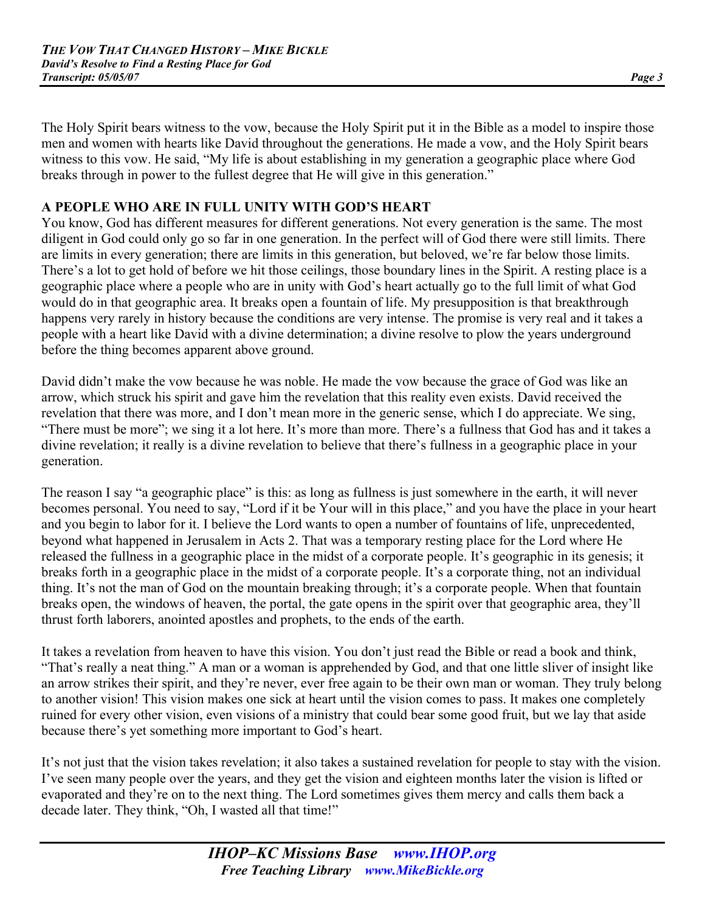The Holy Spirit bears witness to the vow, because the Holy Spirit put it in the Bible as a model to inspire those men and women with hearts like David throughout the generations. He made a vow, and the Holy Spirit bears witness to this vow. He said, "My life is about establishing in my generation a geographic place where God breaks through in power to the fullest degree that He will give in this generation."

## **A PEOPLE WHO ARE IN FULL UNITY WITH GOD'S HEART**

You know, God has different measures for different generations. Not every generation is the same. The most diligent in God could only go so far in one generation. In the perfect will of God there were still limits. There are limits in every generation; there are limits in this generation, but beloved, we're far below those limits. There's a lot to get hold of before we hit those ceilings, those boundary lines in the Spirit. A resting place is a geographic place where a people who are in unity with God's heart actually go to the full limit of what God would do in that geographic area. It breaks open a fountain of life. My presupposition is that breakthrough happens very rarely in history because the conditions are very intense. The promise is very real and it takes a people with a heart like David with a divine determination; a divine resolve to plow the years underground before the thing becomes apparent above ground.

David didn't make the vow because he was noble. He made the vow because the grace of God was like an arrow, which struck his spirit and gave him the revelation that this reality even exists. David received the revelation that there was more, and I don't mean more in the generic sense, which I do appreciate. We sing, "There must be more"; we sing it a lot here. It's more than more. There's a fullness that God has and it takes a divine revelation; it really is a divine revelation to believe that there's fullness in a geographic place in your generation.

The reason I say "a geographic place" is this: as long as fullness is just somewhere in the earth, it will never becomes personal. You need to say, "Lord if it be Your will in this place," and you have the place in your heart and you begin to labor for it. I believe the Lord wants to open a number of fountains of life, unprecedented, beyond what happened in Jerusalem in Acts 2. That was a temporary resting place for the Lord where He released the fullness in a geographic place in the midst of a corporate people. It's geographic in its genesis; it breaks forth in a geographic place in the midst of a corporate people. It's a corporate thing, not an individual thing. It's not the man of God on the mountain breaking through; it's a corporate people. When that fountain breaks open, the windows of heaven, the portal, the gate opens in the spirit over that geographic area, they'll thrust forth laborers, anointed apostles and prophets, to the ends of the earth.

It takes a revelation from heaven to have this vision. You don't just read the Bible or read a book and think, "That's really a neat thing." A man or a woman is apprehended by God, and that one little sliver of insight like an arrow strikes their spirit, and they're never, ever free again to be their own man or woman. They truly belong to another vision! This vision makes one sick at heart until the vision comes to pass. It makes one completely ruined for every other vision, even visions of a ministry that could bear some good fruit, but we lay that aside because there's yet something more important to God's heart.

It's not just that the vision takes revelation; it also takes a sustained revelation for people to stay with the vision. I've seen many people over the years, and they get the vision and eighteen months later the vision is lifted or evaporated and they're on to the next thing. The Lord sometimes gives them mercy and calls them back a decade later. They think, "Oh, I wasted all that time!"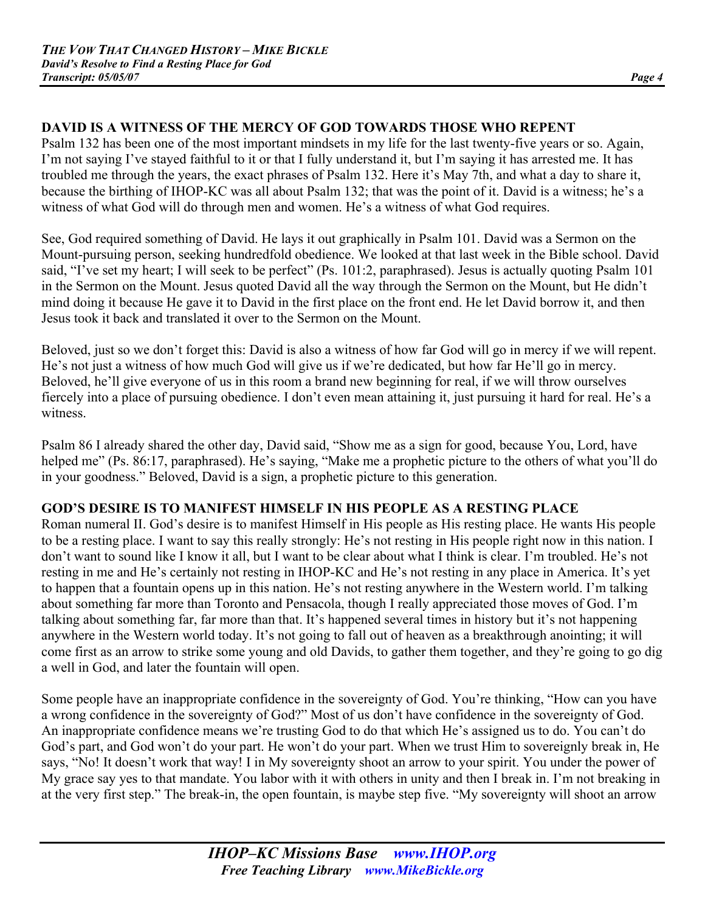# **DAVID IS A WITNESS OF THE MERCY OF GOD TOWARDS THOSE WHO REPENT**

Psalm 132 has been one of the most important mindsets in my life for the last twenty-five years or so. Again, I'm not saying I've stayed faithful to it or that I fully understand it, but I'm saying it has arrested me. It has troubled me through the years, the exact phrases of Psalm 132. Here it's May 7th, and what a day to share it, because the birthing of IHOP-KC was all about Psalm 132; that was the point of it. David is a witness; he's a witness of what God will do through men and women. He's a witness of what God requires.

See, God required something of David. He lays it out graphically in Psalm 101. David was a Sermon on the Mount-pursuing person, seeking hundredfold obedience. We looked at that last week in the Bible school. David said, "I've set my heart; I will seek to be perfect" (Ps. 101:2, paraphrased). Jesus is actually quoting Psalm 101 in the Sermon on the Mount. Jesus quoted David all the way through the Sermon on the Mount, but He didn't mind doing it because He gave it to David in the first place on the front end. He let David borrow it, and then Jesus took it back and translated it over to the Sermon on the Mount.

Beloved, just so we don't forget this: David is also a witness of how far God will go in mercy if we will repent. He's not just a witness of how much God will give us if we're dedicated, but how far He'll go in mercy. Beloved, he'll give everyone of us in this room a brand new beginning for real, if we will throw ourselves fiercely into a place of pursuing obedience. I don't even mean attaining it, just pursuing it hard for real. He's a witness.

Psalm 86 I already shared the other day, David said, "Show me as a sign for good, because You, Lord, have helped me" (Ps. 86:17, paraphrased). He's saying, "Make me a prophetic picture to the others of what you'll do in your goodness." Beloved, David is a sign, a prophetic picture to this generation.

# **GOD'S DESIRE IS TO MANIFEST HIMSELF IN HIS PEOPLE AS A RESTING PLACE**

Roman numeral II. God's desire is to manifest Himself in His people as His resting place. He wants His people to be a resting place. I want to say this really strongly: He's not resting in His people right now in this nation. I don't want to sound like I know it all, but I want to be clear about what I think is clear. I'm troubled. He's not resting in me and He's certainly not resting in IHOP-KC and He's not resting in any place in America. It's yet to happen that a fountain opens up in this nation. He's not resting anywhere in the Western world. I'm talking about something far more than Toronto and Pensacola, though I really appreciated those moves of God. I'm talking about something far, far more than that. It's happened several times in history but it's not happening anywhere in the Western world today. It's not going to fall out of heaven as a breakthrough anointing; it will come first as an arrow to strike some young and old Davids, to gather them together, and they're going to go dig a well in God, and later the fountain will open.

Some people have an inappropriate confidence in the sovereignty of God. You're thinking, "How can you have a wrong confidence in the sovereignty of God?" Most of us don't have confidence in the sovereignty of God. An inappropriate confidence means we're trusting God to do that which He's assigned us to do. You can't do God's part, and God won't do your part. He won't do your part. When we trust Him to sovereignly break in, He says, "No! It doesn't work that way! I in My sovereignty shoot an arrow to your spirit. You under the power of My grace say yes to that mandate. You labor with it with others in unity and then I break in. I'm not breaking in at the very first step." The break-in, the open fountain, is maybe step five. "My sovereignty will shoot an arrow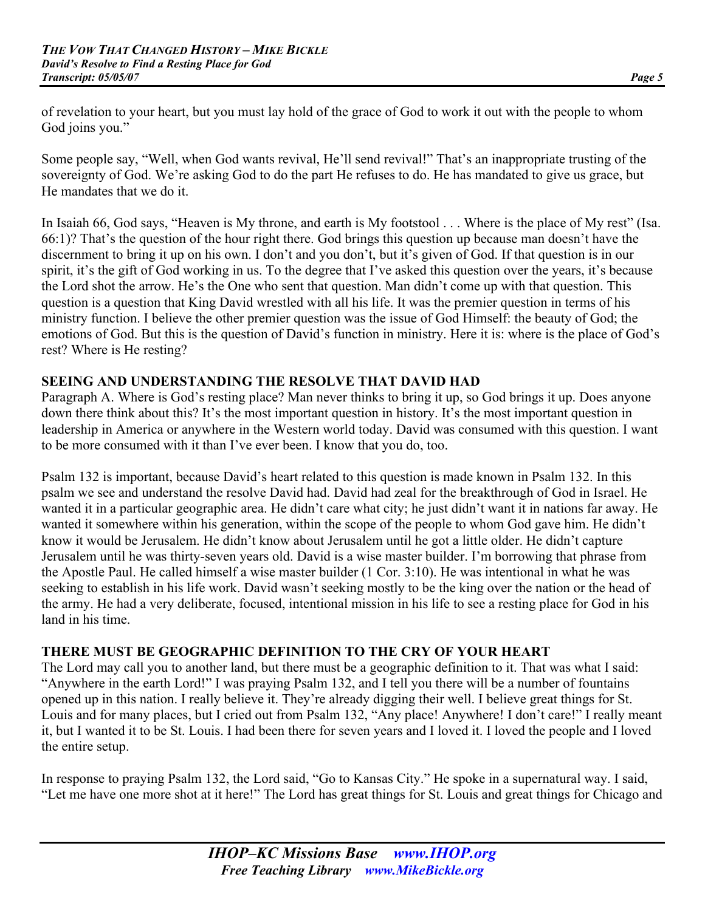of revelation to your heart, but you must lay hold of the grace of God to work it out with the people to whom God joins you."

Some people say, "Well, when God wants revival, He'll send revival!" That's an inappropriate trusting of the sovereignty of God. We're asking God to do the part He refuses to do. He has mandated to give us grace, but He mandates that we do it.

In Isaiah 66, God says, "Heaven is My throne, and earth is My footstool . . . Where is the place of My rest" (Isa. 66:1)? That's the question of the hour right there. God brings this question up because man doesn't have the discernment to bring it up on his own. I don't and you don't, but it's given of God. If that question is in our spirit, it's the gift of God working in us. To the degree that I've asked this question over the years, it's because the Lord shot the arrow. He's the One who sent that question. Man didn't come up with that question. This question is a question that King David wrestled with all his life. It was the premier question in terms of his ministry function. I believe the other premier question was the issue of God Himself: the beauty of God; the emotions of God. But this is the question of David's function in ministry. Here it is: where is the place of God's rest? Where is He resting?

# **SEEING AND UNDERSTANDING THE RESOLVE THAT DAVID HAD**

Paragraph A. Where is God's resting place? Man never thinks to bring it up, so God brings it up. Does anyone down there think about this? It's the most important question in history. It's the most important question in leadership in America or anywhere in the Western world today. David was consumed with this question. I want to be more consumed with it than I've ever been. I know that you do, too.

Psalm 132 is important, because David's heart related to this question is made known in Psalm 132. In this psalm we see and understand the resolve David had. David had zeal for the breakthrough of God in Israel. He wanted it in a particular geographic area. He didn't care what city; he just didn't want it in nations far away. He wanted it somewhere within his generation, within the scope of the people to whom God gave him. He didn't know it would be Jerusalem. He didn't know about Jerusalem until he got a little older. He didn't capture Jerusalem until he was thirty-seven years old. David is a wise master builder. I'm borrowing that phrase from the Apostle Paul. He called himself a wise master builder (1 Cor. 3:10). He was intentional in what he was seeking to establish in his life work. David wasn't seeking mostly to be the king over the nation or the head of the army. He had a very deliberate, focused, intentional mission in his life to see a resting place for God in his land in his time.

# **THERE MUST BE GEOGRAPHIC DEFINITION TO THE CRY OF YOUR HEART**

The Lord may call you to another land, but there must be a geographic definition to it. That was what I said: "Anywhere in the earth Lord!" I was praying Psalm 132, and I tell you there will be a number of fountains opened up in this nation. I really believe it. They're already digging their well. I believe great things for St. Louis and for many places, but I cried out from Psalm 132, "Any place! Anywhere! I don't care!" I really meant it, but I wanted it to be St. Louis. I had been there for seven years and I loved it. I loved the people and I loved the entire setup.

In response to praying Psalm 132, the Lord said, "Go to Kansas City." He spoke in a supernatural way. I said, "Let me have one more shot at it here!" The Lord has great things for St. Louis and great things for Chicago and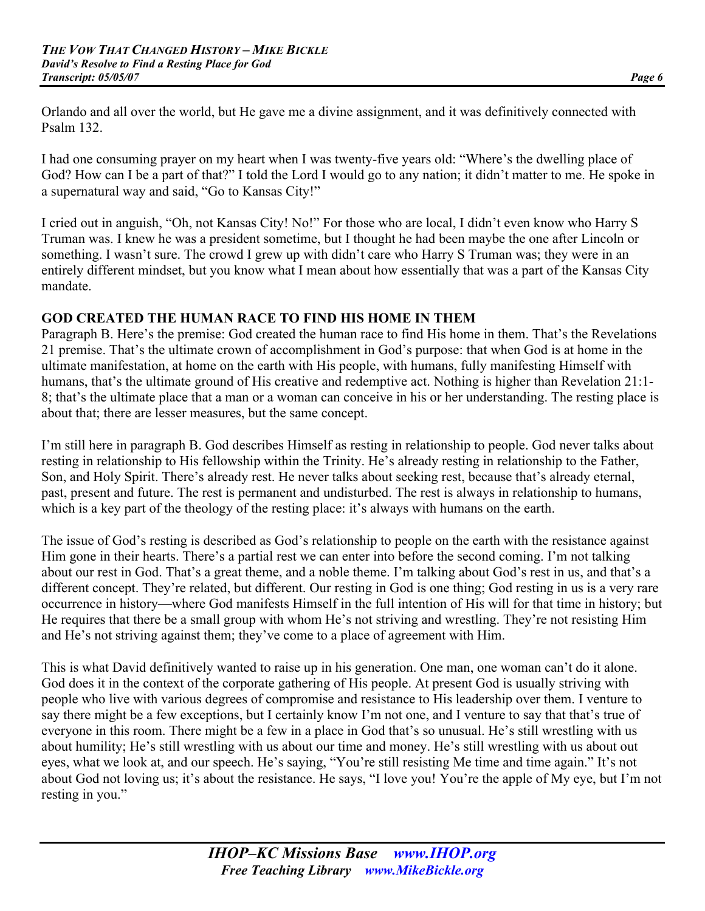Orlando and all over the world, but He gave me a divine assignment, and it was definitively connected with Psalm 132.

I had one consuming prayer on my heart when I was twenty-five years old: "Where's the dwelling place of God? How can I be a part of that?" I told the Lord I would go to any nation; it didn't matter to me. He spoke in a supernatural way and said, "Go to Kansas City!"

I cried out in anguish, "Oh, not Kansas City! No!" For those who are local, I didn't even know who Harry S Truman was. I knew he was a president sometime, but I thought he had been maybe the one after Lincoln or something. I wasn't sure. The crowd I grew up with didn't care who Harry S Truman was; they were in an entirely different mindset, but you know what I mean about how essentially that was a part of the Kansas City mandate.

# **GOD CREATED THE HUMAN RACE TO FIND HIS HOME IN THEM**

Paragraph B. Here's the premise: God created the human race to find His home in them. That's the Revelations 21 premise. That's the ultimate crown of accomplishment in God's purpose: that when God is at home in the ultimate manifestation, at home on the earth with His people, with humans, fully manifesting Himself with humans, that's the ultimate ground of His creative and redemptive act. Nothing is higher than Revelation 21:1- 8; that's the ultimate place that a man or a woman can conceive in his or her understanding. The resting place is about that; there are lesser measures, but the same concept.

I'm still here in paragraph B. God describes Himself as resting in relationship to people. God never talks about resting in relationship to His fellowship within the Trinity. He's already resting in relationship to the Father, Son, and Holy Spirit. There's already rest. He never talks about seeking rest, because that's already eternal, past, present and future. The rest is permanent and undisturbed. The rest is always in relationship to humans, which is a key part of the theology of the resting place: it's always with humans on the earth.

The issue of God's resting is described as God's relationship to people on the earth with the resistance against Him gone in their hearts. There's a partial rest we can enter into before the second coming. I'm not talking about our rest in God. That's a great theme, and a noble theme. I'm talking about God's rest in us, and that's a different concept. They're related, but different. Our resting in God is one thing; God resting in us is a very rare occurrence in history—where God manifests Himself in the full intention of His will for that time in history; but He requires that there be a small group with whom He's not striving and wrestling. They're not resisting Him and He's not striving against them; they've come to a place of agreement with Him.

This is what David definitively wanted to raise up in his generation. One man, one woman can't do it alone. God does it in the context of the corporate gathering of His people. At present God is usually striving with people who live with various degrees of compromise and resistance to His leadership over them. I venture to say there might be a few exceptions, but I certainly know I'm not one, and I venture to say that that's true of everyone in this room. There might be a few in a place in God that's so unusual. He's still wrestling with us about humility; He's still wrestling with us about our time and money. He's still wrestling with us about out eyes, what we look at, and our speech. He's saying, "You're still resisting Me time and time again." It's not about God not loving us; it's about the resistance. He says, "I love you! You're the apple of My eye, but I'm not resting in you."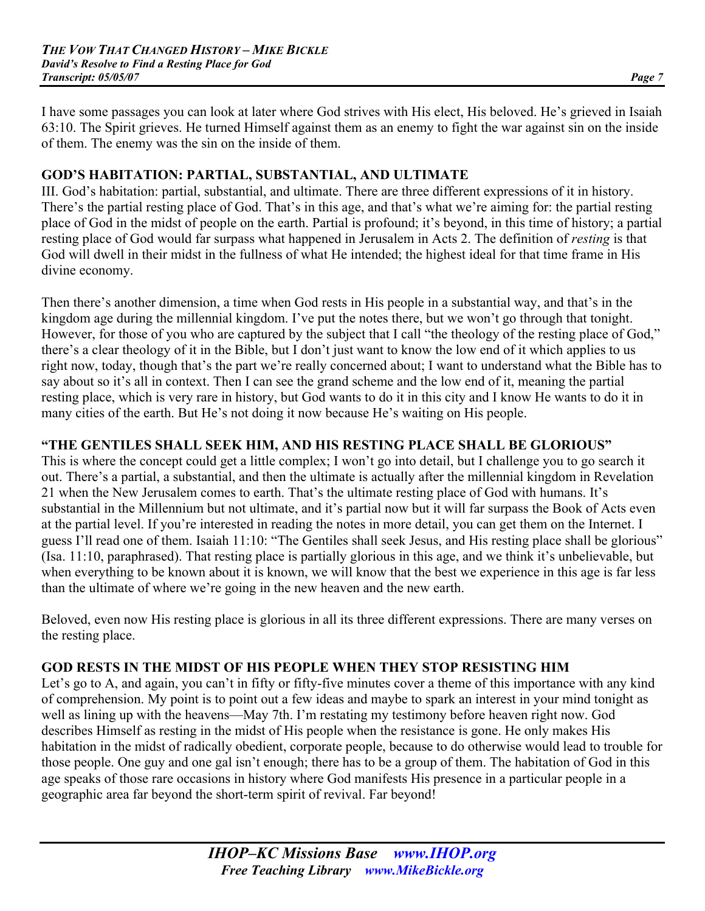I have some passages you can look at later where God strives with His elect, His beloved. He's grieved in Isaiah 63:10. The Spirit grieves. He turned Himself against them as an enemy to fight the war against sin on the inside of them. The enemy was the sin on the inside of them.

# **GOD'S HABITATION: PARTIAL, SUBSTANTIAL, AND ULTIMATE**

III. God's habitation: partial, substantial, and ultimate. There are three different expressions of it in history. There's the partial resting place of God. That's in this age, and that's what we're aiming for: the partial resting place of God in the midst of people on the earth. Partial is profound; it's beyond, in this time of history; a partial resting place of God would far surpass what happened in Jerusalem in Acts 2. The definition of *resting* is that God will dwell in their midst in the fullness of what He intended; the highest ideal for that time frame in His divine economy.

Then there's another dimension, a time when God rests in His people in a substantial way, and that's in the kingdom age during the millennial kingdom. I've put the notes there, but we won't go through that tonight. However, for those of you who are captured by the subject that I call "the theology of the resting place of God," there's a clear theology of it in the Bible, but I don't just want to know the low end of it which applies to us right now, today, though that's the part we're really concerned about; I want to understand what the Bible has to say about so it's all in context. Then I can see the grand scheme and the low end of it, meaning the partial resting place, which is very rare in history, but God wants to do it in this city and I know He wants to do it in many cities of the earth. But He's not doing it now because He's waiting on His people.

# **"THE GENTILES SHALL SEEK HIM, AND HIS RESTING PLACE SHALL BE GLORIOUS"**

This is where the concept could get a little complex; I won't go into detail, but I challenge you to go search it out. There's a partial, a substantial, and then the ultimate is actually after the millennial kingdom in Revelation 21 when the New Jerusalem comes to earth. That's the ultimate resting place of God with humans. It's substantial in the Millennium but not ultimate, and it's partial now but it will far surpass the Book of Acts even at the partial level. If you're interested in reading the notes in more detail, you can get them on the Internet. I guess I'll read one of them. Isaiah 11:10: "The Gentiles shall seek Jesus, and His resting place shall be glorious" (Isa. 11:10, paraphrased). That resting place is partially glorious in this age, and we think it's unbelievable, but when everything to be known about it is known, we will know that the best we experience in this age is far less than the ultimate of where we're going in the new heaven and the new earth.

Beloved, even now His resting place is glorious in all its three different expressions. There are many verses on the resting place.

# **GOD RESTS IN THE MIDST OF HIS PEOPLE WHEN THEY STOP RESISTING HIM**

Let's go to A, and again, you can't in fifty or fifty-five minutes cover a theme of this importance with any kind of comprehension. My point is to point out a few ideas and maybe to spark an interest in your mind tonight as well as lining up with the heavens—May 7th. I'm restating my testimony before heaven right now. God describes Himself as resting in the midst of His people when the resistance is gone. He only makes His habitation in the midst of radically obedient, corporate people, because to do otherwise would lead to trouble for those people. One guy and one gal isn't enough; there has to be a group of them. The habitation of God in this age speaks of those rare occasions in history where God manifests His presence in a particular people in a geographic area far beyond the short-term spirit of revival. Far beyond!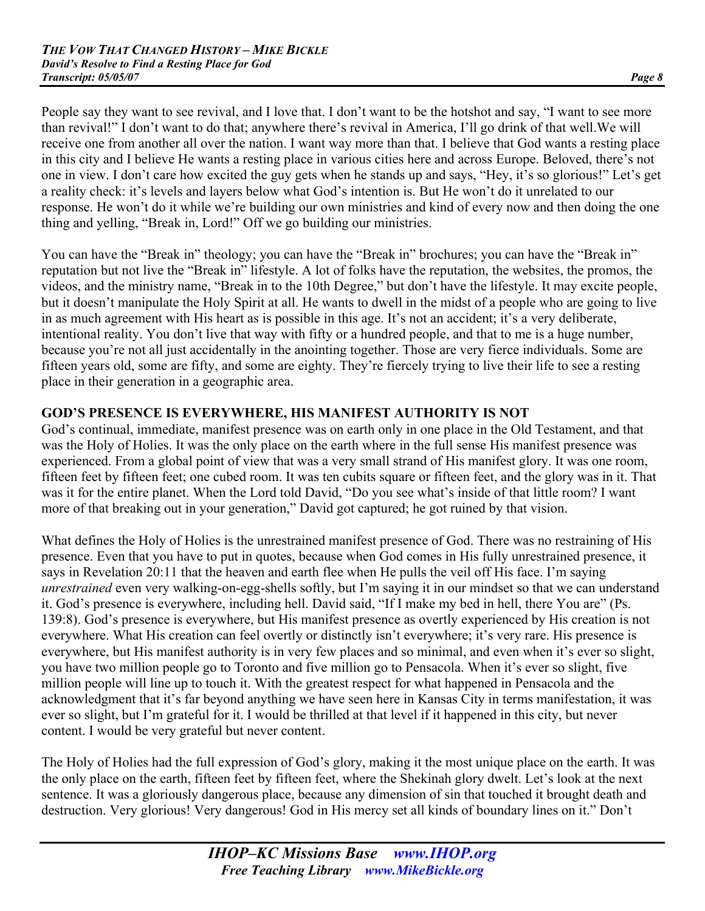People say they want to see revival, and I love that. I don't want to be the hotshot and say, "I want to see more than revival!" I don't want to do that; anywhere there's revival in America, I'll go drink of that well.We will receive one from another all over the nation. I want way more than that. I believe that God wants a resting place in this city and I believe He wants a resting place in various cities here and across Europe. Beloved, there's not one in view. I don't care how excited the guy gets when he stands up and says, "Hey, it's so glorious!" Let's get a reality check: it's levels and layers below what God's intention is. But He won't do it unrelated to our response. He won't do it while we're building our own ministries and kind of every now and then doing the one thing and yelling, "Break in, Lord!" Off we go building our ministries.

You can have the "Break in" theology; you can have the "Break in" brochures; you can have the "Break in" reputation but not live the "Break in" lifestyle. A lot of folks have the reputation, the websites, the promos, the videos, and the ministry name, "Break in to the 10th Degree," but don't have the lifestyle. It may excite people, but it doesn't manipulate the Holy Spirit at all. He wants to dwell in the midst of a people who are going to live in as much agreement with His heart as is possible in this age. It's not an accident; it's a very deliberate, intentional reality. You don't live that way with fifty or a hundred people, and that to me is a huge number, because you're not all just accidentally in the anointing together. Those are very fierce individuals. Some are fifteen years old, some are fifty, and some are eighty. They're fiercely trying to live their life to see a resting place in their generation in a geographic area.

# **GOD'S PRESENCE IS EVERYWHERE, HIS MANIFEST AUTHORITY IS NOT**

God's continual, immediate, manifest presence was on earth only in one place in the Old Testament, and that was the Holy of Holies. It was the only place on the earth where in the full sense His manifest presence was experienced. From a global point of view that was a very small strand of His manifest glory. It was one room, fifteen feet by fifteen feet; one cubed room. It was ten cubits square or fifteen feet, and the glory was in it. That was it for the entire planet. When the Lord told David, "Do you see what's inside of that little room? I want more of that breaking out in your generation," David got captured; he got ruined by that vision.

What defines the Holy of Holies is the unrestrained manifest presence of God. There was no restraining of His presence. Even that you have to put in quotes, because when God comes in His fully unrestrained presence, it says in Revelation 20:11 that the heaven and earth flee when He pulls the veil off His face. I'm saying *unrestrained* even very walking-on-egg-shells softly, but I'm saying it in our mindset so that we can understand it. God's presence is everywhere, including hell. David said, "If I make my bed in hell, there You are" (Ps. 139:8). God's presence is everywhere, but His manifest presence as overtly experienced by His creation is not everywhere. What His creation can feel overtly or distinctly isn't everywhere; it's very rare. His presence is everywhere, but His manifest authority is in very few places and so minimal, and even when it's ever so slight, you have two million people go to Toronto and five million go to Pensacola. When it's ever so slight, five million people will line up to touch it. With the greatest respect for what happened in Pensacola and the acknowledgment that it's far beyond anything we have seen here in Kansas City in terms manifestation, it was ever so slight, but I'm grateful for it. I would be thrilled at that level if it happened in this city, but never content. I would be very grateful but never content.

The Holy of Holies had the full expression of God's glory, making it the most unique place on the earth. It was the only place on the earth, fifteen feet by fifteen feet, where the Shekinah glory dwelt. Let's look at the next sentence. It was a gloriously dangerous place, because any dimension of sin that touched it brought death and destruction. Very glorious! Very dangerous! God in His mercy set all kinds of boundary lines on it." Don't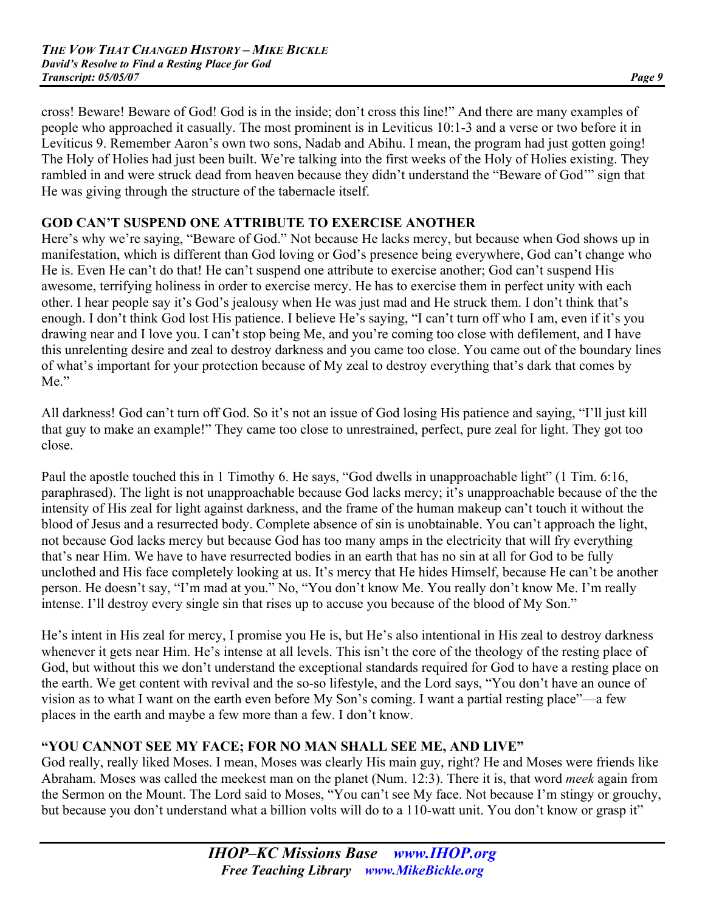cross! Beware! Beware of God! God is in the inside; don't cross this line!" And there are many examples of people who approached it casually. The most prominent is in Leviticus 10:1-3 and a verse or two before it in Leviticus 9. Remember Aaron's own two sons, Nadab and Abihu. I mean, the program had just gotten going! The Holy of Holies had just been built. We're talking into the first weeks of the Holy of Holies existing. They rambled in and were struck dead from heaven because they didn't understand the "Beware of God'" sign that He was giving through the structure of the tabernacle itself.

# **GOD CAN'T SUSPEND ONE ATTRIBUTE TO EXERCISE ANOTHER**

Here's why we're saying, "Beware of God." Not because He lacks mercy, but because when God shows up in manifestation, which is different than God loving or God's presence being everywhere, God can't change who He is. Even He can't do that! He can't suspend one attribute to exercise another; God can't suspend His awesome, terrifying holiness in order to exercise mercy. He has to exercise them in perfect unity with each other. I hear people say it's God's jealousy when He was just mad and He struck them. I don't think that's enough. I don't think God lost His patience. I believe He's saying, "I can't turn off who I am, even if it's you drawing near and I love you. I can't stop being Me, and you're coming too close with defilement, and I have this unrelenting desire and zeal to destroy darkness and you came too close. You came out of the boundary lines of what's important for your protection because of My zeal to destroy everything that's dark that comes by Me."

All darkness! God can't turn off God. So it's not an issue of God losing His patience and saying, "I'll just kill that guy to make an example!" They came too close to unrestrained, perfect, pure zeal for light. They got too close.

Paul the apostle touched this in 1 Timothy 6. He says, "God dwells in unapproachable light" (1 Tim. 6:16, paraphrased). The light is not unapproachable because God lacks mercy; it's unapproachable because of the the intensity of His zeal for light against darkness, and the frame of the human makeup can't touch it without the blood of Jesus and a resurrected body. Complete absence of sin is unobtainable. You can't approach the light, not because God lacks mercy but because God has too many amps in the electricity that will fry everything that's near Him. We have to have resurrected bodies in an earth that has no sin at all for God to be fully unclothed and His face completely looking at us. It's mercy that He hides Himself, because He can't be another person. He doesn't say, "I'm mad at you." No, "You don't know Me. You really don't know Me. I'm really intense. I'll destroy every single sin that rises up to accuse you because of the blood of My Son."

He's intent in His zeal for mercy, I promise you He is, but He's also intentional in His zeal to destroy darkness whenever it gets near Him. He's intense at all levels. This isn't the core of the theology of the resting place of God, but without this we don't understand the exceptional standards required for God to have a resting place on the earth. We get content with revival and the so-so lifestyle, and the Lord says, "You don't have an ounce of vision as to what I want on the earth even before My Son's coming. I want a partial resting place"—a few places in the earth and maybe a few more than a few. I don't know.

## **"YOU CANNOT SEE MY FACE; FOR NO MAN SHALL SEE ME, AND LIVE"**

God really, really liked Moses. I mean, Moses was clearly His main guy, right? He and Moses were friends like Abraham. Moses was called the meekest man on the planet (Num. 12:3). There it is, that word *meek* again from the Sermon on the Mount. The Lord said to Moses, "You can't see My face. Not because I'm stingy or grouchy, but because you don't understand what a billion volts will do to a 110-watt unit. You don't know or grasp it"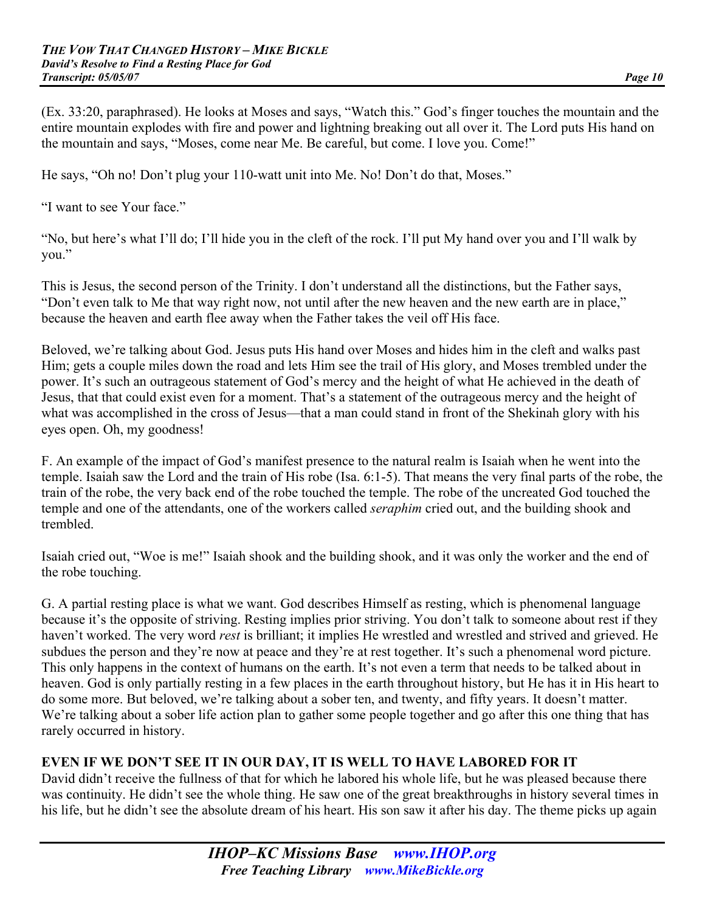(Ex. 33:20, paraphrased). He looks at Moses and says, "Watch this." God's finger touches the mountain and the entire mountain explodes with fire and power and lightning breaking out all over it. The Lord puts His hand on the mountain and says, "Moses, come near Me. Be careful, but come. I love you. Come!"

He says, "Oh no! Don't plug your 110-watt unit into Me. No! Don't do that, Moses."

"I want to see Your face."

"No, but here's what I'll do; I'll hide you in the cleft of the rock. I'll put My hand over you and I'll walk by you."

This is Jesus, the second person of the Trinity. I don't understand all the distinctions, but the Father says, "Don't even talk to Me that way right now, not until after the new heaven and the new earth are in place," because the heaven and earth flee away when the Father takes the veil off His face.

Beloved, we're talking about God. Jesus puts His hand over Moses and hides him in the cleft and walks past Him; gets a couple miles down the road and lets Him see the trail of His glory, and Moses trembled under the power. It's such an outrageous statement of God's mercy and the height of what He achieved in the death of Jesus, that that could exist even for a moment. That's a statement of the outrageous mercy and the height of what was accomplished in the cross of Jesus—that a man could stand in front of the Shekinah glory with his eyes open. Oh, my goodness!

F. An example of the impact of God's manifest presence to the natural realm is Isaiah when he went into the temple. Isaiah saw the Lord and the train of His robe (Isa. 6:1-5). That means the very final parts of the robe, the train of the robe, the very back end of the robe touched the temple. The robe of the uncreated God touched the temple and one of the attendants, one of the workers called *seraphim* cried out, and the building shook and trembled.

Isaiah cried out, "Woe is me!" Isaiah shook and the building shook, and it was only the worker and the end of the robe touching.

G. A partial resting place is what we want. God describes Himself as resting, which is phenomenal language because it's the opposite of striving. Resting implies prior striving. You don't talk to someone about rest if they haven't worked. The very word *rest* is brilliant; it implies He wrestled and wrestled and strived and grieved. He subdues the person and they're now at peace and they're at rest together. It's such a phenomenal word picture. This only happens in the context of humans on the earth. It's not even a term that needs to be talked about in heaven. God is only partially resting in a few places in the earth throughout history, but He has it in His heart to do some more. But beloved, we're talking about a sober ten, and twenty, and fifty years. It doesn't matter. We're talking about a sober life action plan to gather some people together and go after this one thing that has rarely occurred in history.

# **EVEN IF WE DON'T SEE IT IN OUR DAY, IT IS WELL TO HAVE LABORED FOR IT**

David didn't receive the fullness of that for which he labored his whole life, but he was pleased because there was continuity. He didn't see the whole thing. He saw one of the great breakthroughs in history several times in his life, but he didn't see the absolute dream of his heart. His son saw it after his day. The theme picks up again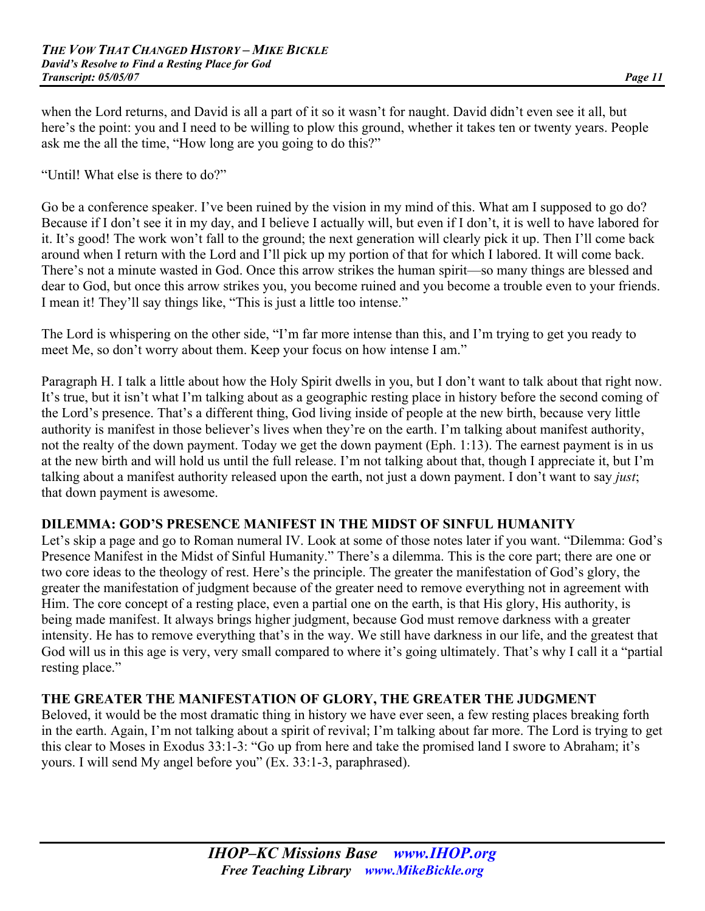when the Lord returns, and David is all a part of it so it wasn't for naught. David didn't even see it all, but here's the point: you and I need to be willing to plow this ground, whether it takes ten or twenty years. People ask me the all the time, "How long are you going to do this?"

"Until! What else is there to do?"

Go be a conference speaker. I've been ruined by the vision in my mind of this. What am I supposed to go do? Because if I don't see it in my day, and I believe I actually will, but even if I don't, it is well to have labored for it. It's good! The work won't fall to the ground; the next generation will clearly pick it up. Then I'll come back around when I return with the Lord and I'll pick up my portion of that for which I labored. It will come back. There's not a minute wasted in God. Once this arrow strikes the human spirit—so many things are blessed and dear to God, but once this arrow strikes you, you become ruined and you become a trouble even to your friends. I mean it! They'll say things like, "This is just a little too intense."

The Lord is whispering on the other side, "I'm far more intense than this, and I'm trying to get you ready to meet Me, so don't worry about them. Keep your focus on how intense I am."

Paragraph H. I talk a little about how the Holy Spirit dwells in you, but I don't want to talk about that right now. It's true, but it isn't what I'm talking about as a geographic resting place in history before the second coming of the Lord's presence. That's a different thing, God living inside of people at the new birth, because very little authority is manifest in those believer's lives when they're on the earth. I'm talking about manifest authority, not the realty of the down payment. Today we get the down payment (Eph. 1:13). The earnest payment is in us at the new birth and will hold us until the full release. I'm not talking about that, though I appreciate it, but I'm talking about a manifest authority released upon the earth, not just a down payment. I don't want to say *just*; that down payment is awesome.

## **DILEMMA: GOD'S PRESENCE MANIFEST IN THE MIDST OF SINFUL HUMANITY**

Let's skip a page and go to Roman numeral IV. Look at some of those notes later if you want. "Dilemma: God's Presence Manifest in the Midst of Sinful Humanity." There's a dilemma. This is the core part; there are one or two core ideas to the theology of rest. Here's the principle. The greater the manifestation of God's glory, the greater the manifestation of judgment because of the greater need to remove everything not in agreement with Him. The core concept of a resting place, even a partial one on the earth, is that His glory, His authority, is being made manifest. It always brings higher judgment, because God must remove darkness with a greater intensity. He has to remove everything that's in the way. We still have darkness in our life, and the greatest that God will us in this age is very, very small compared to where it's going ultimately. That's why I call it a "partial resting place."

## **THE GREATER THE MANIFESTATION OF GLORY, THE GREATER THE JUDGMENT**

Beloved, it would be the most dramatic thing in history we have ever seen, a few resting places breaking forth in the earth. Again, I'm not talking about a spirit of revival; I'm talking about far more. The Lord is trying to get this clear to Moses in Exodus 33:1-3: "Go up from here and take the promised land I swore to Abraham; it's yours. I will send My angel before you" (Ex. 33:1-3, paraphrased).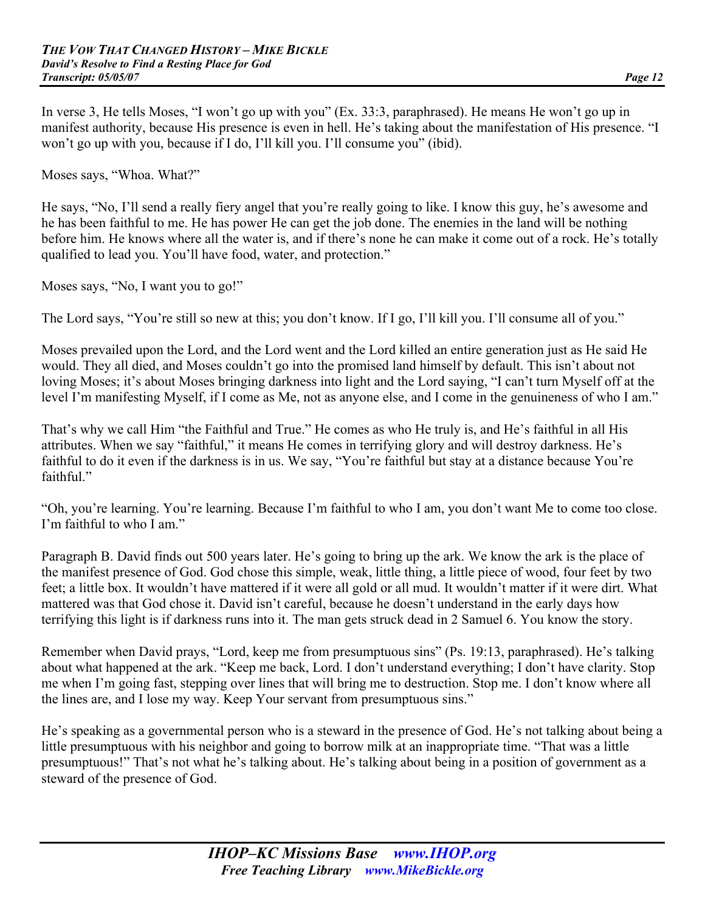In verse 3, He tells Moses, "I won't go up with you" (Ex. 33:3, paraphrased). He means He won't go up in manifest authority, because His presence is even in hell. He's taking about the manifestation of His presence. "I won't go up with you, because if I do, I'll kill you. I'll consume you" (ibid).

Moses says, "Whoa. What?"

He says, "No, I'll send a really fiery angel that you're really going to like. I know this guy, he's awesome and he has been faithful to me. He has power He can get the job done. The enemies in the land will be nothing before him. He knows where all the water is, and if there's none he can make it come out of a rock. He's totally qualified to lead you. You'll have food, water, and protection."

Moses says, "No, I want you to go!"

The Lord says, "You're still so new at this; you don't know. If I go, I'll kill you. I'll consume all of you."

Moses prevailed upon the Lord, and the Lord went and the Lord killed an entire generation just as He said He would. They all died, and Moses couldn't go into the promised land himself by default. This isn't about not loving Moses; it's about Moses bringing darkness into light and the Lord saying, "I can't turn Myself off at the level I'm manifesting Myself, if I come as Me, not as anyone else, and I come in the genuineness of who I am."

That's why we call Him "the Faithful and True." He comes as who He truly is, and He's faithful in all His attributes. When we say "faithful," it means He comes in terrifying glory and will destroy darkness. He's faithful to do it even if the darkness is in us. We say, "You're faithful but stay at a distance because You're faithful<sup>"</sup>

"Oh, you're learning. You're learning. Because I'm faithful to who I am, you don't want Me to come too close. I'm faithful to who I am."

Paragraph B. David finds out 500 years later. He's going to bring up the ark. We know the ark is the place of the manifest presence of God. God chose this simple, weak, little thing, a little piece of wood, four feet by two feet; a little box. It wouldn't have mattered if it were all gold or all mud. It wouldn't matter if it were dirt. What mattered was that God chose it. David isn't careful, because he doesn't understand in the early days how terrifying this light is if darkness runs into it. The man gets struck dead in 2 Samuel 6. You know the story.

Remember when David prays, "Lord, keep me from presumptuous sins" (Ps. 19:13, paraphrased). He's talking about what happened at the ark. "Keep me back, Lord. I don't understand everything; I don't have clarity. Stop me when I'm going fast, stepping over lines that will bring me to destruction. Stop me. I don't know where all the lines are, and I lose my way. Keep Your servant from presumptuous sins."

He's speaking as a governmental person who is a steward in the presence of God. He's not talking about being a little presumptuous with his neighbor and going to borrow milk at an inappropriate time. "That was a little presumptuous!" That's not what he's talking about. He's talking about being in a position of government as a steward of the presence of God.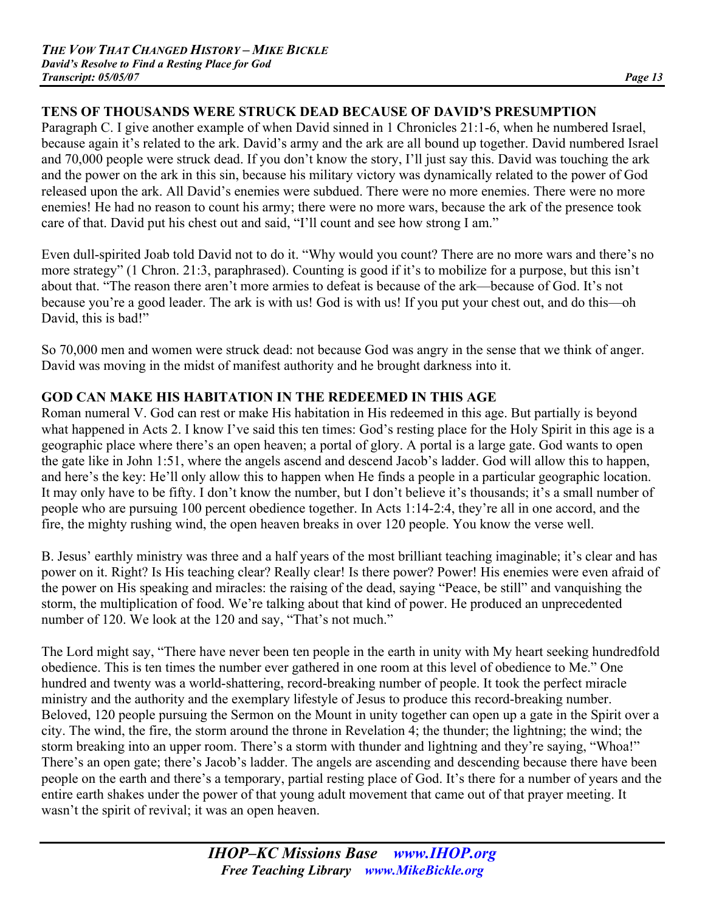# **TENS OF THOUSANDS WERE STRUCK DEAD BECAUSE OF DAVID'S PRESUMPTION**

Paragraph C. I give another example of when David sinned in 1 Chronicles 21:1-6, when he numbered Israel, because again it's related to the ark. David's army and the ark are all bound up together. David numbered Israel and 70,000 people were struck dead. If you don't know the story, I'll just say this. David was touching the ark and the power on the ark in this sin, because his military victory was dynamically related to the power of God released upon the ark. All David's enemies were subdued. There were no more enemies. There were no more enemies! He had no reason to count his army; there were no more wars, because the ark of the presence took care of that. David put his chest out and said, "I'll count and see how strong I am."

Even dull-spirited Joab told David not to do it. "Why would you count? There are no more wars and there's no more strategy" (1 Chron. 21:3, paraphrased). Counting is good if it's to mobilize for a purpose, but this isn't about that. "The reason there aren't more armies to defeat is because of the ark—because of God. It's not because you're a good leader. The ark is with us! God is with us! If you put your chest out, and do this—oh David, this is bad!"

So 70,000 men and women were struck dead: not because God was angry in the sense that we think of anger. David was moving in the midst of manifest authority and he brought darkness into it.

# **GOD CAN MAKE HIS HABITATION IN THE REDEEMED IN THIS AGE**

Roman numeral V. God can rest or make His habitation in His redeemed in this age. But partially is beyond what happened in Acts 2. I know I've said this ten times: God's resting place for the Holy Spirit in this age is a geographic place where there's an open heaven; a portal of glory. A portal is a large gate. God wants to open the gate like in John 1:51, where the angels ascend and descend Jacob's ladder. God will allow this to happen, and here's the key: He'll only allow this to happen when He finds a people in a particular geographic location. It may only have to be fifty. I don't know the number, but I don't believe it's thousands; it's a small number of people who are pursuing 100 percent obedience together. In Acts 1:14-2:4, they're all in one accord, and the fire, the mighty rushing wind, the open heaven breaks in over 120 people. You know the verse well.

B. Jesus' earthly ministry was three and a half years of the most brilliant teaching imaginable; it's clear and has power on it. Right? Is His teaching clear? Really clear! Is there power? Power! His enemies were even afraid of the power on His speaking and miracles: the raising of the dead, saying "Peace, be still" and vanquishing the storm, the multiplication of food. We're talking about that kind of power. He produced an unprecedented number of 120. We look at the 120 and say, "That's not much."

The Lord might say, "There have never been ten people in the earth in unity with My heart seeking hundredfold obedience. This is ten times the number ever gathered in one room at this level of obedience to Me." One hundred and twenty was a world-shattering, record-breaking number of people. It took the perfect miracle ministry and the authority and the exemplary lifestyle of Jesus to produce this record-breaking number. Beloved, 120 people pursuing the Sermon on the Mount in unity together can open up a gate in the Spirit over a city. The wind, the fire, the storm around the throne in Revelation 4; the thunder; the lightning; the wind; the storm breaking into an upper room. There's a storm with thunder and lightning and they're saying, "Whoa!" There's an open gate; there's Jacob's ladder. The angels are ascending and descending because there have been people on the earth and there's a temporary, partial resting place of God. It's there for a number of years and the entire earth shakes under the power of that young adult movement that came out of that prayer meeting. It wasn't the spirit of revival; it was an open heaven.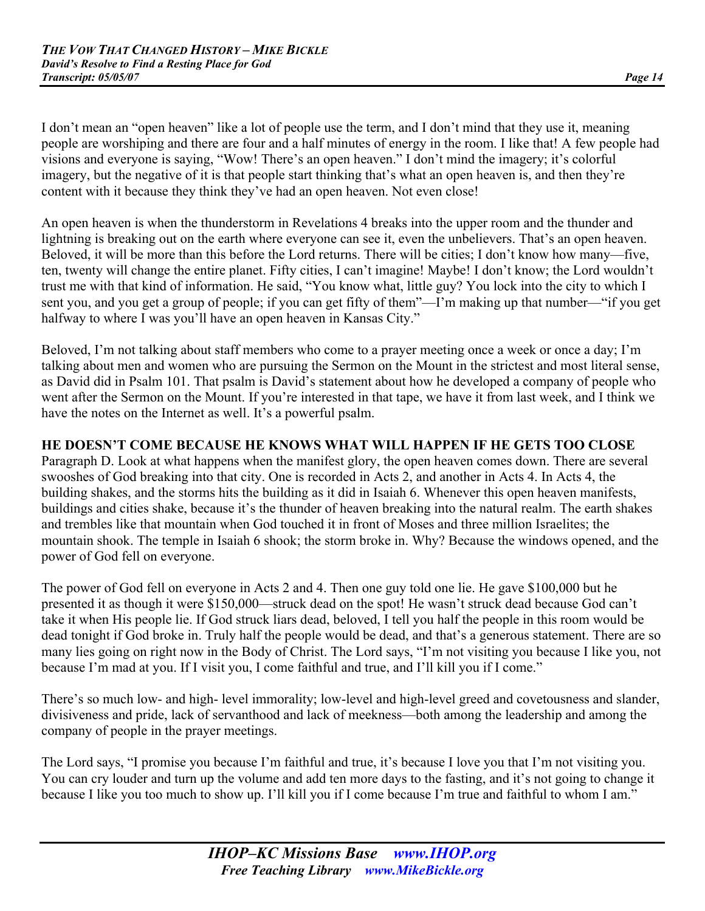I don't mean an "open heaven" like a lot of people use the term, and I don't mind that they use it, meaning people are worshiping and there are four and a half minutes of energy in the room. I like that! A few people had visions and everyone is saying, "Wow! There's an open heaven." I don't mind the imagery; it's colorful imagery, but the negative of it is that people start thinking that's what an open heaven is, and then they're content with it because they think they've had an open heaven. Not even close!

An open heaven is when the thunderstorm in Revelations 4 breaks into the upper room and the thunder and lightning is breaking out on the earth where everyone can see it, even the unbelievers. That's an open heaven. Beloved, it will be more than this before the Lord returns. There will be cities; I don't know how many—five, ten, twenty will change the entire planet. Fifty cities, I can't imagine! Maybe! I don't know; the Lord wouldn't trust me with that kind of information. He said, "You know what, little guy? You lock into the city to which I sent you, and you get a group of people; if you can get fifty of them"—I'm making up that number—"if you get halfway to where I was you'll have an open heaven in Kansas City."

Beloved, I'm not talking about staff members who come to a prayer meeting once a week or once a day; I'm talking about men and women who are pursuing the Sermon on the Mount in the strictest and most literal sense, as David did in Psalm 101. That psalm is David's statement about how he developed a company of people who went after the Sermon on the Mount. If you're interested in that tape, we have it from last week, and I think we have the notes on the Internet as well. It's a powerful psalm.

# **HE DOESN'T COME BECAUSE HE KNOWS WHAT WILL HAPPEN IF HE GETS TOO CLOSE**

Paragraph D. Look at what happens when the manifest glory, the open heaven comes down. There are several swooshes of God breaking into that city. One is recorded in Acts 2, and another in Acts 4. In Acts 4, the building shakes, and the storms hits the building as it did in Isaiah 6. Whenever this open heaven manifests, buildings and cities shake, because it's the thunder of heaven breaking into the natural realm. The earth shakes and trembles like that mountain when God touched it in front of Moses and three million Israelites; the mountain shook. The temple in Isaiah 6 shook; the storm broke in. Why? Because the windows opened, and the power of God fell on everyone.

The power of God fell on everyone in Acts 2 and 4. Then one guy told one lie. He gave \$100,000 but he presented it as though it were \$150,000—struck dead on the spot! He wasn't struck dead because God can't take it when His people lie. If God struck liars dead, beloved, I tell you half the people in this room would be dead tonight if God broke in. Truly half the people would be dead, and that's a generous statement. There are so many lies going on right now in the Body of Christ. The Lord says, "I'm not visiting you because I like you, not because I'm mad at you. If I visit you, I come faithful and true, and I'll kill you if I come."

There's so much low- and high- level immorality; low-level and high-level greed and covetousness and slander, divisiveness and pride, lack of servanthood and lack of meekness—both among the leadership and among the company of people in the prayer meetings.

The Lord says, "I promise you because I'm faithful and true, it's because I love you that I'm not visiting you. You can cry louder and turn up the volume and add ten more days to the fasting, and it's not going to change it because I like you too much to show up. I'll kill you if I come because I'm true and faithful to whom I am."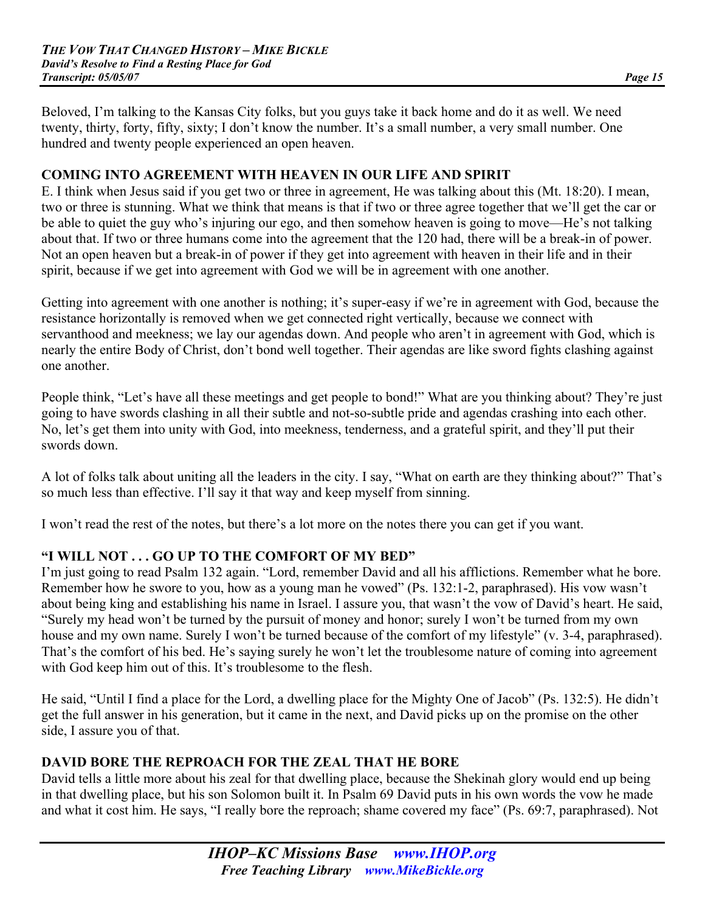Beloved, I'm talking to the Kansas City folks, but you guys take it back home and do it as well. We need twenty, thirty, forty, fifty, sixty; I don't know the number. It's a small number, a very small number. One hundred and twenty people experienced an open heaven.

# **COMING INTO AGREEMENT WITH HEAVEN IN OUR LIFE AND SPIRIT**

E. I think when Jesus said if you get two or three in agreement, He was talking about this (Mt. 18:20). I mean, two or three is stunning. What we think that means is that if two or three agree together that we'll get the car or be able to quiet the guy who's injuring our ego, and then somehow heaven is going to move—He's not talking about that. If two or three humans come into the agreement that the 120 had, there will be a break-in of power. Not an open heaven but a break-in of power if they get into agreement with heaven in their life and in their spirit, because if we get into agreement with God we will be in agreement with one another.

Getting into agreement with one another is nothing; it's super-easy if we're in agreement with God, because the resistance horizontally is removed when we get connected right vertically, because we connect with servanthood and meekness; we lay our agendas down. And people who aren't in agreement with God, which is nearly the entire Body of Christ, don't bond well together. Their agendas are like sword fights clashing against one another.

People think, "Let's have all these meetings and get people to bond!" What are you thinking about? They're just going to have swords clashing in all their subtle and not-so-subtle pride and agendas crashing into each other. No, let's get them into unity with God, into meekness, tenderness, and a grateful spirit, and they'll put their swords down.

A lot of folks talk about uniting all the leaders in the city. I say, "What on earth are they thinking about?" That's so much less than effective. I'll say it that way and keep myself from sinning.

I won't read the rest of the notes, but there's a lot more on the notes there you can get if you want.

## **"I WILL NOT . . . GO UP TO THE COMFORT OF MY BED"**

I'm just going to read Psalm 132 again. "Lord, remember David and all his afflictions. Remember what he bore. Remember how he swore to you, how as a young man he vowed" (Ps. 132:1-2, paraphrased). His vow wasn't about being king and establishing his name in Israel. I assure you, that wasn't the vow of David's heart. He said, "Surely my head won't be turned by the pursuit of money and honor; surely I won't be turned from my own house and my own name. Surely I won't be turned because of the comfort of my lifestyle" (v. 3-4, paraphrased). That's the comfort of his bed. He's saying surely he won't let the troublesome nature of coming into agreement with God keep him out of this. It's troublesome to the flesh.

He said, "Until I find a place for the Lord, a dwelling place for the Mighty One of Jacob" (Ps. 132:5). He didn't get the full answer in his generation, but it came in the next, and David picks up on the promise on the other side, I assure you of that.

## **DAVID BORE THE REPROACH FOR THE ZEAL THAT HE BORE**

David tells a little more about his zeal for that dwelling place, because the Shekinah glory would end up being in that dwelling place, but his son Solomon built it. In Psalm 69 David puts in his own words the vow he made and what it cost him. He says, "I really bore the reproach; shame covered my face" (Ps. 69:7, paraphrased). Not